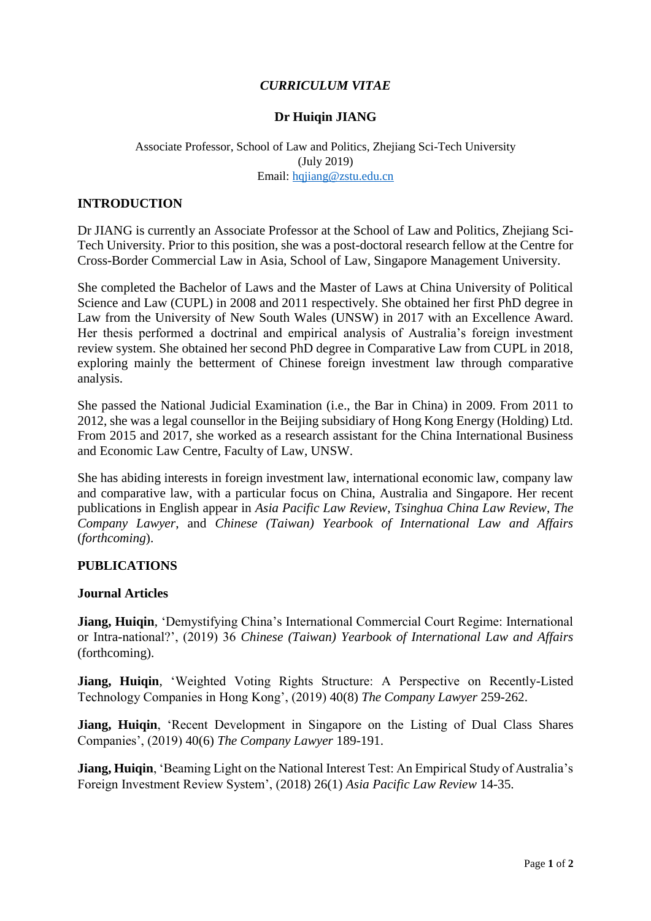# *CURRICULUM VITAE*

### **Dr Huiqin JIANG**

### Associate Professor, School of Law and Politics, Zhejiang Sci-Tech University (July 2019) Email: [hqjiang@zstu.edu.cn](mailto:hqjiang@zstu.edu.cn)

#### **INTRODUCTION**

Dr JIANG is currently an Associate Professor at the School of Law and Politics, Zhejiang Sci-Tech University. Prior to this position, she was a post-doctoral research fellow at the Centre for Cross-Border Commercial Law in Asia, School of Law, Singapore Management University.

She completed the Bachelor of Laws and the Master of Laws at China University of Political Science and Law (CUPL) in 2008 and 2011 respectively. She obtained her first PhD degree in Law from the University of New South Wales (UNSW) in 2017 with an Excellence Award. Her thesis performed a doctrinal and empirical analysis of Australia's foreign investment review system. She obtained her second PhD degree in Comparative Law from CUPL in 2018, exploring mainly the betterment of Chinese foreign investment law through comparative analysis.

She passed the National Judicial Examination (i.e., the Bar in China) in 2009. From 2011 to 2012, she was a legal counsellor in the Beijing subsidiary of Hong Kong Energy (Holding) Ltd. From 2015 and 2017, she worked as a research assistant for the China International Business and Economic Law Centre, Faculty of Law, UNSW.

She has abiding interests in foreign investment law, international economic law, company law and comparative law, with a particular focus on China, Australia and Singapore. Her recent publications in English appear in *Asia Pacific Law Review*, *Tsinghua China Law Review*, *The Company Lawyer*, and *Chinese (Taiwan) Yearbook of International Law and Affairs* (*forthcoming*).

#### **PUBLICATIONS**

#### **Journal Articles**

**Jiang, Huiqin**, 'Demystifying China's International Commercial Court Regime: International or Intra-national?', (2019) 36 *Chinese (Taiwan) Yearbook of International Law and Affairs* (forthcoming).

**Jiang, Huiqin**, 'Weighted Voting Rights Structure: A Perspective on Recently-Listed Technology Companies in Hong Kong', (2019) 40(8) *The Company Lawyer* 259-262.

**Jiang, Huiqin**, 'Recent Development in Singapore on the Listing of Dual Class Shares Companies', (2019) 40(6) *The Company Lawyer* 189-191.

**Jiang, Huiqin**, 'Beaming Light on the National Interest Test: An Empirical Study of Australia's Foreign Investment Review System', (2018) 26(1) *Asia Pacific Law Review* 14-35.